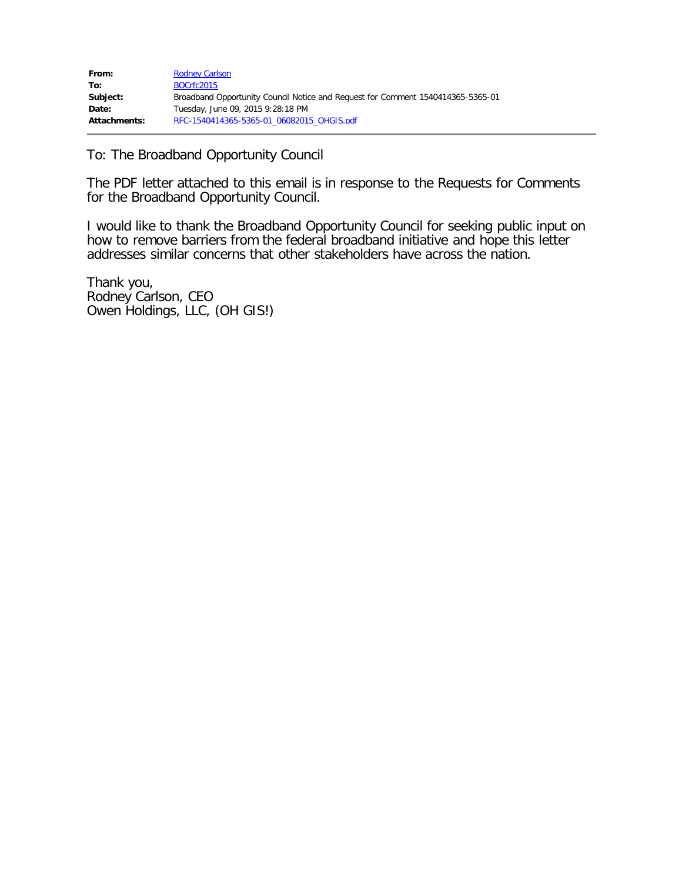| From:        | <b>Rodney Carlson</b>                                                           |
|--------------|---------------------------------------------------------------------------------|
| To:          | BOCrfc2015                                                                      |
| Subject:     | Broadband Opportunity Council Notice and Request for Comment 1540414365-5365-01 |
| Date:        | Tuesday, June 09, 2015 9:28:18 PM                                               |
| Attachments: | RFC-1540414365-5365-01 06082015 OHGIS.pdf                                       |

To: The Broadband Opportunity Council

The PDF letter attached to this email is in response to the Requests for Comments for the Broadband Opportunity Council.

I would like to thank the Broadband Opportunity Council for seeking public input on how to remove barriers from the federal broadband initiative and hope this letter addresses similar concerns that other stakeholders have across the nation.

Thank you, Rodney Carlson, CEO Owen Holdings, LLC, (OH GIS!)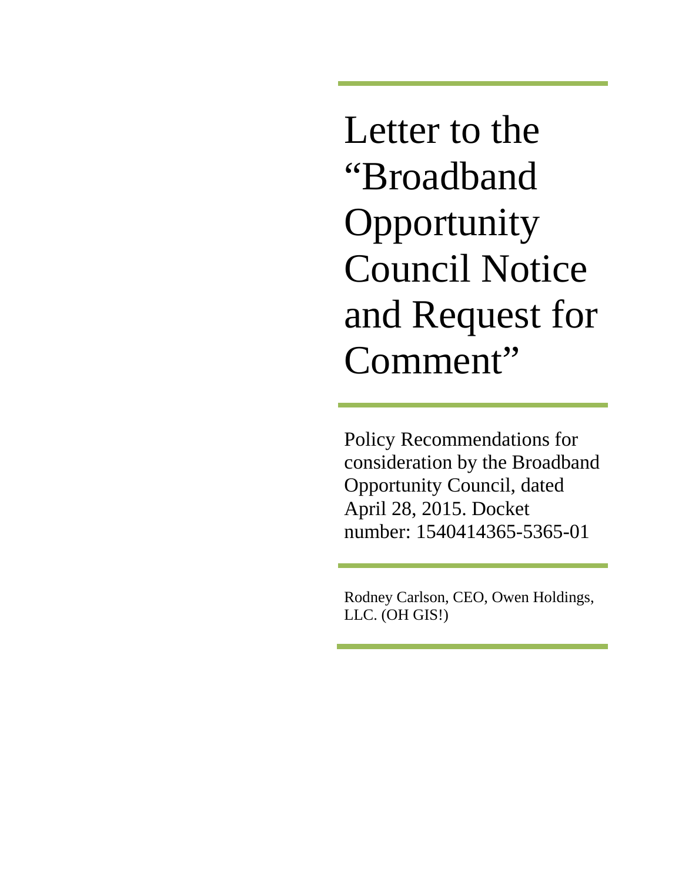Letter to the "Broadband **Opportunity** Council Notice and Request for Comment"

Policy Recommendations for consideration by the Broadband Opportunity Council, dated April 28, 2015. Docket number: 1540414365-5365-01

Rodney Carlson, CEO, Owen Holdings, LLC. (OH GIS!)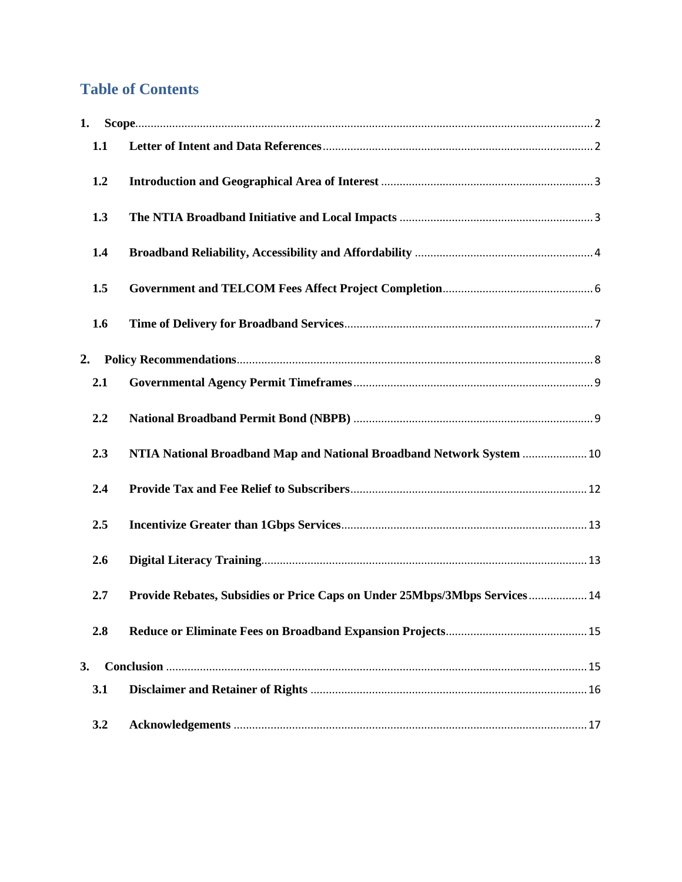# **Table of Contents**

| 1. |     |                                                                            |
|----|-----|----------------------------------------------------------------------------|
|    | 1.1 |                                                                            |
|    | 1.2 |                                                                            |
|    | 1.3 |                                                                            |
|    | 1.4 |                                                                            |
|    | 1.5 |                                                                            |
|    | 1.6 |                                                                            |
| 2. |     |                                                                            |
|    | 2.1 |                                                                            |
|    | 2.2 |                                                                            |
|    | 2.3 | NTIA National Broadband Map and National Broadband Network System  10      |
|    | 2.4 |                                                                            |
|    | 2.5 |                                                                            |
|    | 2.6 |                                                                            |
|    | 2.7 | Provide Rebates, Subsidies or Price Caps on Under 25Mbps/3Mbps Services 14 |
|    | 2.8 |                                                                            |
| 3. |     |                                                                            |
|    | 3.1 |                                                                            |
|    | 3.2 |                                                                            |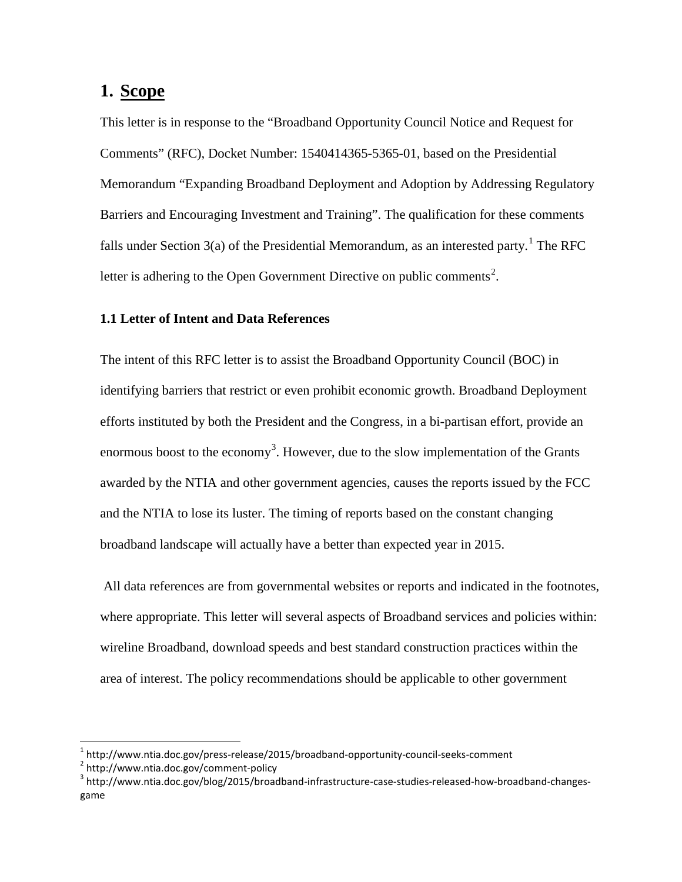# <span id="page-3-0"></span>**1. Scope**

This letter is in response to the "Broadband Opportunity Council Notice and Request for Comments" (RFC), Docket Number: 1540414365-5365-01, based on the Presidential Memorandum "Expanding Broadband Deployment and Adoption by Addressing Regulatory Barriers and Encouraging Investment and Training". The qualification for these comments falls under Section 3(a) of the Presidential Memorandum, as an interested party.<sup>[1](#page-3-2)</sup> The RFC letter is adhering to the Open Government Directive on public comments<sup>[2](#page-3-3)</sup>.

# <span id="page-3-1"></span>**1.1 Letter of Intent and Data References**

The intent of this RFC letter is to assist the Broadband Opportunity Council (BOC) in identifying barriers that restrict or even prohibit economic growth. Broadband Deployment efforts instituted by both the President and the Congress, in a bi-partisan effort, provide an enormous boost to the economy<sup>[3](#page-3-4)</sup>. However, due to the slow implementation of the Grants awarded by the NTIA and other government agencies, causes the reports issued by the FCC and the NTIA to lose its luster. The timing of reports based on the constant changing broadband landscape will actually have a better than expected year in 2015.

All data references are from governmental websites or reports and indicated in the footnotes, where appropriate. This letter will several aspects of Broadband services and policies within: wireline Broadband, download speeds and best standard construction practices within the area of interest. The policy recommendations should be applicable to other government

<span id="page-3-4"></span><span id="page-3-3"></span>

<span id="page-3-2"></span><sup>&</sup>lt;sup>1</sup> http://www.ntia.doc.gov/press-release/2015/broadband-opportunity-council-seeks-comment<br><sup>2</sup> http://www.ntia.doc.gov/comment-policy<br><sup>3</sup> http://www.ntia.doc.gov/blog/2015/broadband-infrastructure-case-studies-released-ho game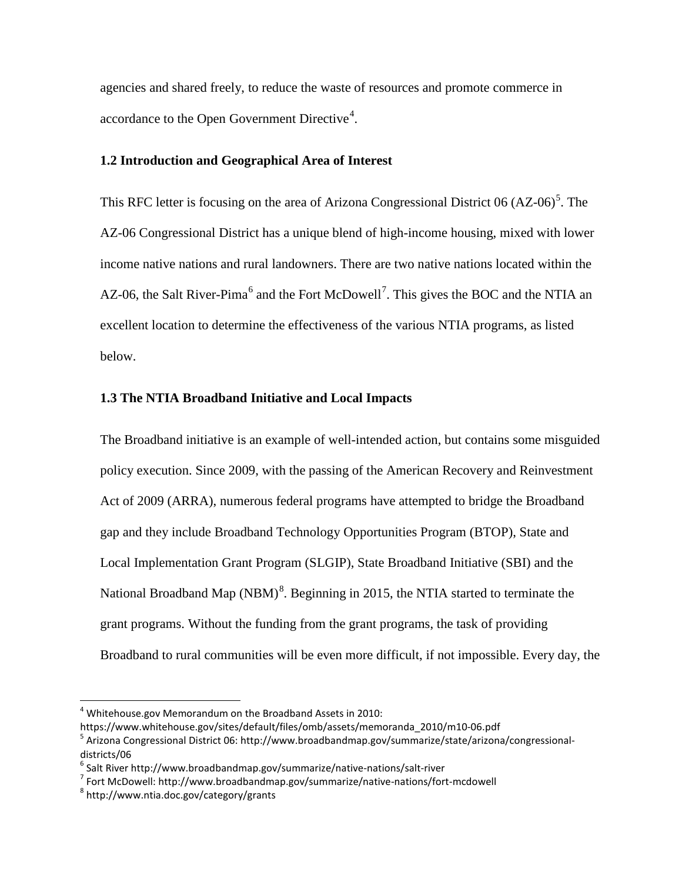agencies and shared freely, to reduce the waste of resources and promote commerce in accordance to the Open Government Directive $4$ .

#### <span id="page-4-0"></span>**1.2 Introduction and Geographical Area of Interest**

This RFC letter is focusing on the area of Arizona Congressional District 06 (AZ-06)<sup>[5](#page-4-3)</sup>. The AZ-06 Congressional District has a unique blend of high-income housing, mixed with lower income native nations and rural landowners. There are two native nations located within the AZ-0[6](#page-4-4), the Salt River-Pima<sup>6</sup> and the Fort McDowell<sup>[7](#page-4-5)</sup>. This gives the BOC and the NTIA an excellent location to determine the effectiveness of the various NTIA programs, as listed below.

# <span id="page-4-1"></span>**1.3 The NTIA Broadband Initiative and Local Impacts**

The Broadband initiative is an example of well-intended action, but contains some misguided policy execution. Since 2009, with the passing of the American Recovery and Reinvestment Act of 2009 (ARRA), numerous federal programs have attempted to bridge the Broadband gap and they include Broadband Technology Opportunities Program (BTOP), State and Local Implementation Grant Program (SLGIP), State Broadband Initiative (SBI) and the National Broadband Map (NBM)<sup>[8](#page-4-6)</sup>. Beginning in 2015, the NTIA started to terminate the grant programs. Without the funding from the grant programs, the task of providing Broadband to rural communities will be even more difficult, if not impossible. Every day, the

<span id="page-4-2"></span> $4$  Whitehouse.gov Memorandum on the Broadband Assets in 2010:

<span id="page-4-3"></span>https://www.whitehouse.gov/sites/default/files/omb/assets/memoranda\_2010/m10-06.pdf<br><sup>5</sup> Arizona Congressional District 06: http://www.broadbandmap.gov/summarize/state/arizona/congressionaldistricts/06

<span id="page-4-5"></span><span id="page-4-4"></span><sup>&</sup>lt;sup>6</sup> Salt River http://www.broadbandmap.gov/summarize/native-nations/salt-river<br><sup>7</sup> Fort McDowell: http://www.broadbandmap.gov/summarize/native-nations/fort-mcdowell 8 http://www.ntia.doc.gov/category/grants

<span id="page-4-6"></span>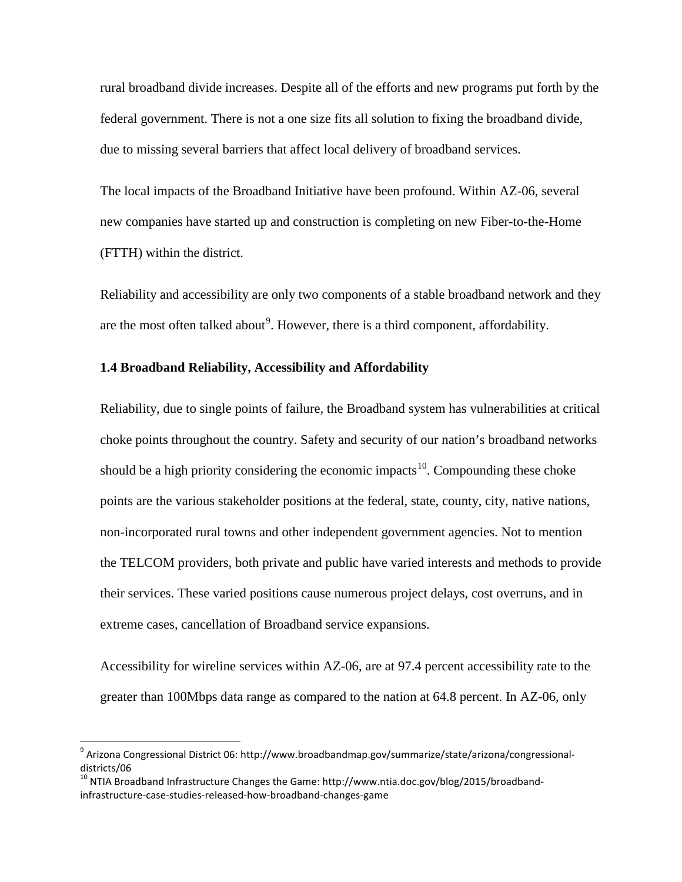rural broadband divide increases. Despite all of the efforts and new programs put forth by the federal government. There is not a one size fits all solution to fixing the broadband divide, due to missing several barriers that affect local delivery of broadband services.

The local impacts of the Broadband Initiative have been profound. Within AZ-06, several new companies have started up and construction is completing on new Fiber-to-the-Home (FTTH) within the district.

Reliability and accessibility are only two components of a stable broadband network and they are the most often talked about<sup>[9](#page-5-1)</sup>. However, there is a third component, affordability.

# <span id="page-5-0"></span>**1.4 Broadband Reliability, Accessibility and Affordability**

Reliability, due to single points of failure, the Broadband system has vulnerabilities at critical choke points throughout the country. Safety and security of our nation's broadband networks should be a high priority considering the economic impacts<sup>[10](#page-5-2)</sup>. Compounding these choke points are the various stakeholder positions at the federal, state, county, city, native nations, non-incorporated rural towns and other independent government agencies. Not to mention the TELCOM providers, both private and public have varied interests and methods to provide their services. These varied positions cause numerous project delays, cost overruns, and in extreme cases, cancellation of Broadband service expansions.

Accessibility for wireline services within AZ-06, are at 97.4 percent accessibility rate to the greater than 100Mbps data range as compared to the nation at 64.8 percent. In AZ-06, only

<span id="page-5-1"></span><sup>&</sup>lt;sup>9</sup> Arizona Congressional District 06: http://www.broadbandmap.gov/summarize/state/arizona/congressionaldistricts/06

<span id="page-5-2"></span><sup>&</sup>lt;sup>10</sup> NTIA Broadband Infrastructure Changes the Game: http://www.ntia.doc.gov/blog/2015/broadbandinfrastructure-case-studies-released-how-broadband-changes-game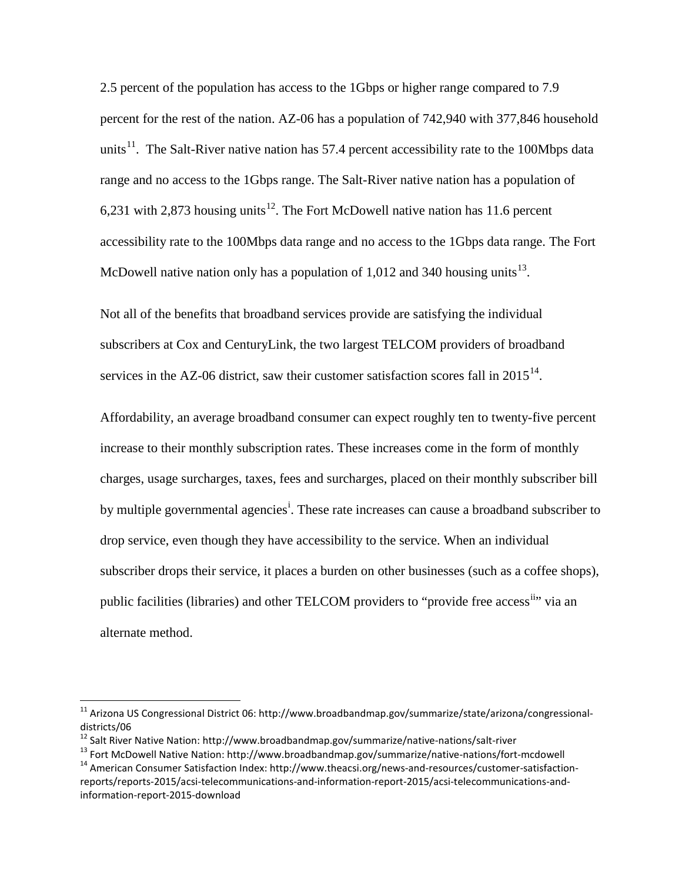2.5 percent of the population has access to the 1Gbps or higher range compared to 7.9 percent for the rest of the nation. AZ-06 has a population of 742,940 with 377,846 household units<sup>[11](#page-6-0)</sup>. The Salt-River native nation has 57.4 percent accessibility rate to the 100Mbps data range and no access to the 1Gbps range. The Salt-River native nation has a population of 6,231 with 2,873 housing units<sup>[12](#page-6-1)</sup>. The Fort McDowell native nation has 11.6 percent accessibility rate to the 100Mbps data range and no access to the 1Gbps data range. The Fort McDowell native nation only has a population of 1,012 and 340 housing units<sup>[13](#page-6-2)</sup>.

Not all of the benefits that broadband services provide are satisfying the individual subscribers at Cox and CenturyLink, the two largest TELCOM providers of broadband services in the AZ-06 district, saw their customer satisfaction scores fall in  $2015^{14}$  $2015^{14}$  $2015^{14}$ .

Affordability, an average broadband consumer can expect roughly ten to twenty-five percent increase to their monthly subscription rates. These increases come in the form of monthly charges, usage surcharges, taxes, fees and surcharges, placed on their monthly subscriber bill by mult[i](#page-18-1)ple governmental agencies<sup>i</sup>. These rate increases can cause a broadband subscriber to drop service, even though they have accessibility to the service. When an individual subscriber drops their service, it places a burden on other businesses (such as a coffee shops), public facilities (libraries) and other TELCOM providers to "provide free access<sup>ii</sup>" via an alternate method.

<span id="page-6-0"></span> <sup>11</sup> Arizona US Congressional District 06: http://www.broadbandmap.gov/summarize/state/arizona/congressionaldistricts/06<br><sup>12</sup> Salt River Native Nation: http://www.broadbandmap.gov/summarize/native-nations/salt-river

<span id="page-6-1"></span>

<span id="page-6-2"></span><sup>&</sup>lt;sup>13</sup> Fort McDowell Native Nation: http://www.broadbandmap.gov/summarize/native-nations/fort-mcdowell<br><sup>14</sup> American Consumer Satisfaction Index: http://www.theacsi.org/news-and-resources/customer-satisfaction-

<span id="page-6-3"></span>reports/reports-2015/acsi-telecommunications-and-information-report-2015/acsi-telecommunications-andinformation-report-2015-download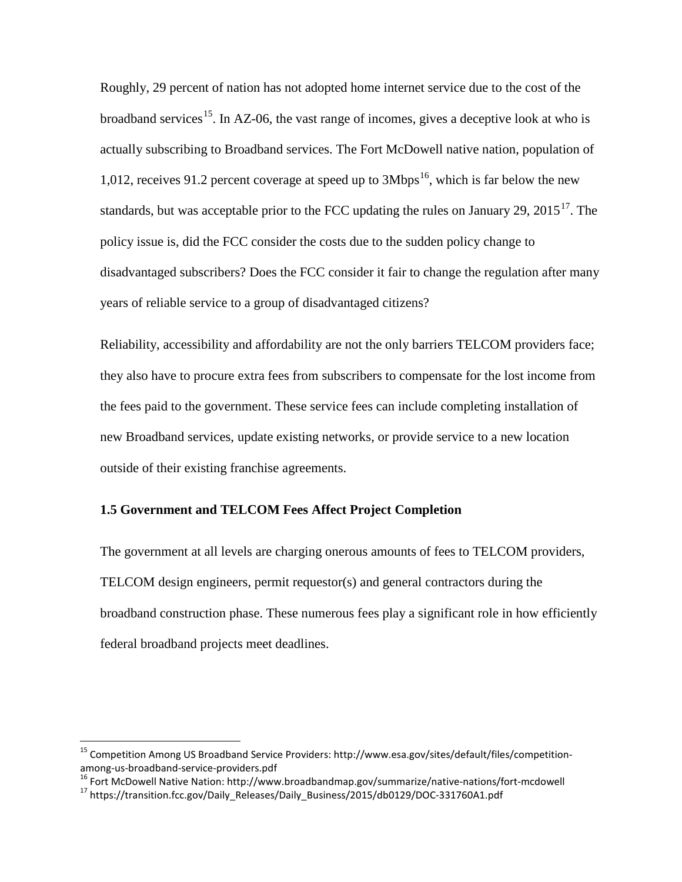Roughly, 29 percent of nation has not adopted home internet service due to the cost of the broadband services<sup>15</sup>. In AZ-06, the vast range of incomes, gives a deceptive look at who is actually subscribing to Broadband services. The Fort McDowell native nation, population of 1,012, receives 91.2 percent coverage at speed up to  $3Mbps^{16}$  $3Mbps^{16}$  $3Mbps^{16}$ , which is far below the new standards, but was acceptable prior to the FCC updating the rules on January 29,  $2015^{17}$ . The policy issue is, did the FCC consider the costs due to the sudden policy change to disadvantaged subscribers? Does the FCC consider it fair to change the regulation after many years of reliable service to a group of disadvantaged citizens?

Reliability, accessibility and affordability are not the only barriers TELCOM providers face; they also have to procure extra fees from subscribers to compensate for the lost income from the fees paid to the government. These service fees can include completing installation of new Broadband services, update existing networks, or provide service to a new location outside of their existing franchise agreements.

# <span id="page-7-0"></span>**1.5 Government and TELCOM Fees Affect Project Completion**

The government at all levels are charging onerous amounts of fees to TELCOM providers, TELCOM design engineers, permit requestor(s) and general contractors during the broadband construction phase. These numerous fees play a significant role in how efficiently federal broadband projects meet deadlines.

<span id="page-7-1"></span><sup>&</sup>lt;sup>15</sup> Competition Among US Broadband Service Providers: http://www.esa.gov/sites/default/files/competition-<br>among-us-broadband-service-providers.pdf

<span id="page-7-3"></span><span id="page-7-2"></span><sup>&</sup>lt;sup>16</sup> Fort McDowell Native Nation: http://www.broadbandmap.gov/summarize/native-nations/fort-mcdowell<br><sup>17</sup> https://transition.fcc.gov/Daily Releases/Daily Business/2015/db0129/DOC-331760A1.pdf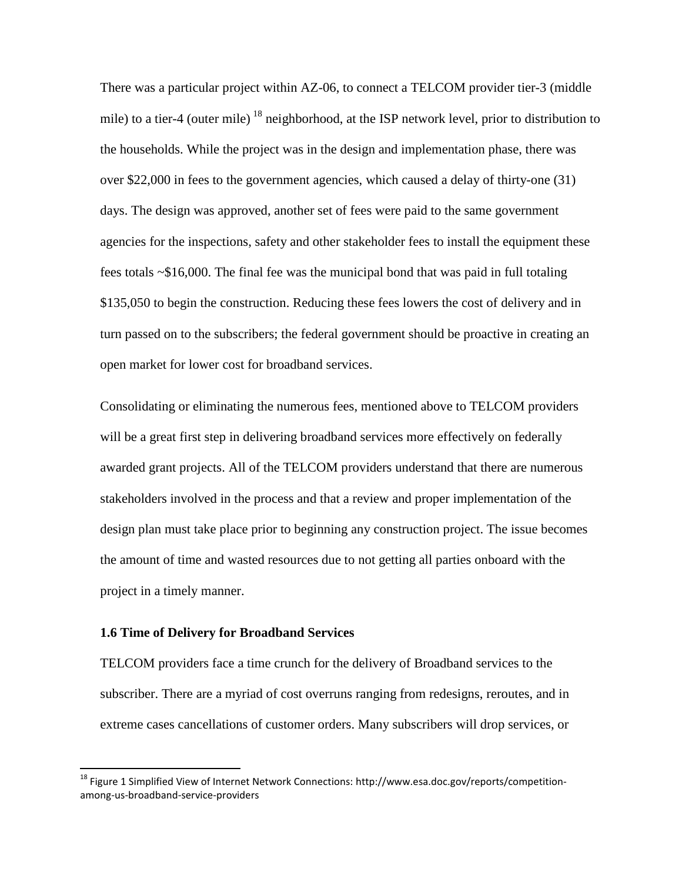There was a particular project within AZ-06, to connect a TELCOM provider tier-3 (middle mile) to a tier-4 (outer mile)  $^{18}$  $^{18}$  $^{18}$  neighborhood, at the ISP network level, prior to distribution to the households. While the project was in the design and implementation phase, there was over \$22,000 in fees to the government agencies, which caused a delay of thirty-one (31) days. The design was approved, another set of fees were paid to the same government agencies for the inspections, safety and other stakeholder fees to install the equipment these fees totals ~\$16,000. The final fee was the municipal bond that was paid in full totaling \$135,050 to begin the construction. Reducing these fees lowers the cost of delivery and in turn passed on to the subscribers; the federal government should be proactive in creating an open market for lower cost for broadband services.

Consolidating or eliminating the numerous fees, mentioned above to TELCOM providers will be a great first step in delivering broadband services more effectively on federally awarded grant projects. All of the TELCOM providers understand that there are numerous stakeholders involved in the process and that a review and proper implementation of the design plan must take place prior to beginning any construction project. The issue becomes the amount of time and wasted resources due to not getting all parties onboard with the project in a timely manner.

## <span id="page-8-0"></span>**1.6 Time of Delivery for Broadband Services**

TELCOM providers face a time crunch for the delivery of Broadband services to the subscriber. There are a myriad of cost overruns ranging from redesigns, reroutes, and in extreme cases cancellations of customer orders. Many subscribers will drop services, or

<span id="page-8-1"></span><sup>&</sup>lt;sup>18</sup> Figure 1 Simplified View of Internet Network Connections: http://www.esa.doc.gov/reports/competitionamong-us-broadband-service-providers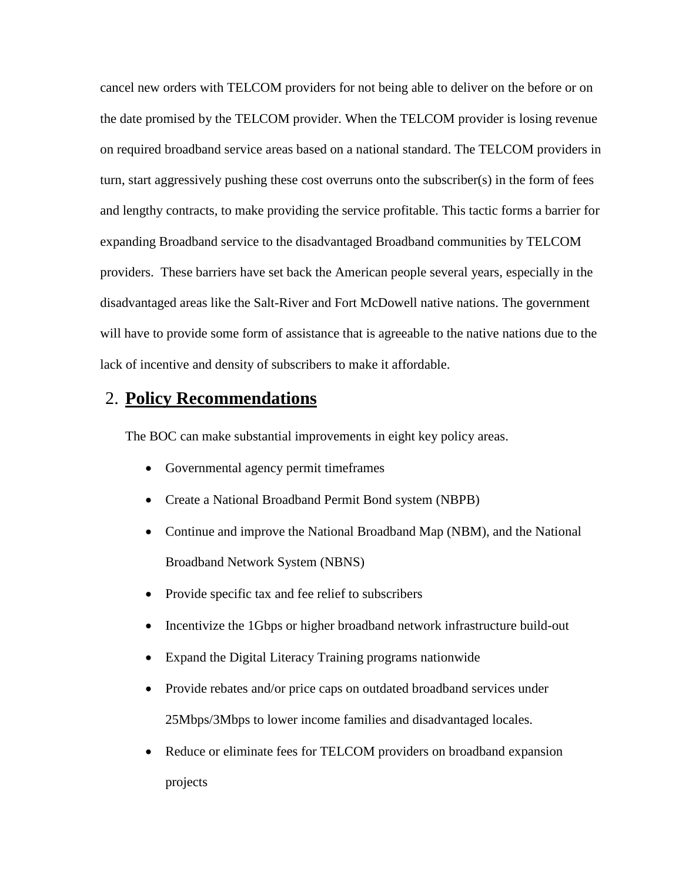cancel new orders with TELCOM providers for not being able to deliver on the before or on the date promised by the TELCOM provider. When the TELCOM provider is losing revenue on required broadband service areas based on a national standard. The TELCOM providers in turn, start aggressively pushing these cost overruns onto the subscriber(s) in the form of fees and lengthy contracts, to make providing the service profitable. This tactic forms a barrier for expanding Broadband service to the disadvantaged Broadband communities by TELCOM providers. These barriers have set back the American people several years, especially in the disadvantaged areas like the Salt-River and Fort McDowell native nations. The government will have to provide some form of assistance that is agreeable to the native nations due to the lack of incentive and density of subscribers to make it affordable.

# <span id="page-9-0"></span>2. **Policy Recommendations**

The BOC can make substantial improvements in eight key policy areas.

- Governmental agency permit timeframes
- Create a National Broadband Permit Bond system (NBPB)
- Continue and improve the National Broadband Map (NBM), and the National Broadband Network System (NBNS)
- Provide specific tax and fee relief to subscribers
- Incentivize the 1Gbps or higher broadband network infrastructure build-out
- Expand the Digital Literacy Training programs nationwide
- Provide rebates and/or price caps on outdated broadband services under 25Mbps/3Mbps to lower income families and disadvantaged locales.
- Reduce or eliminate fees for TELCOM providers on broadband expansion projects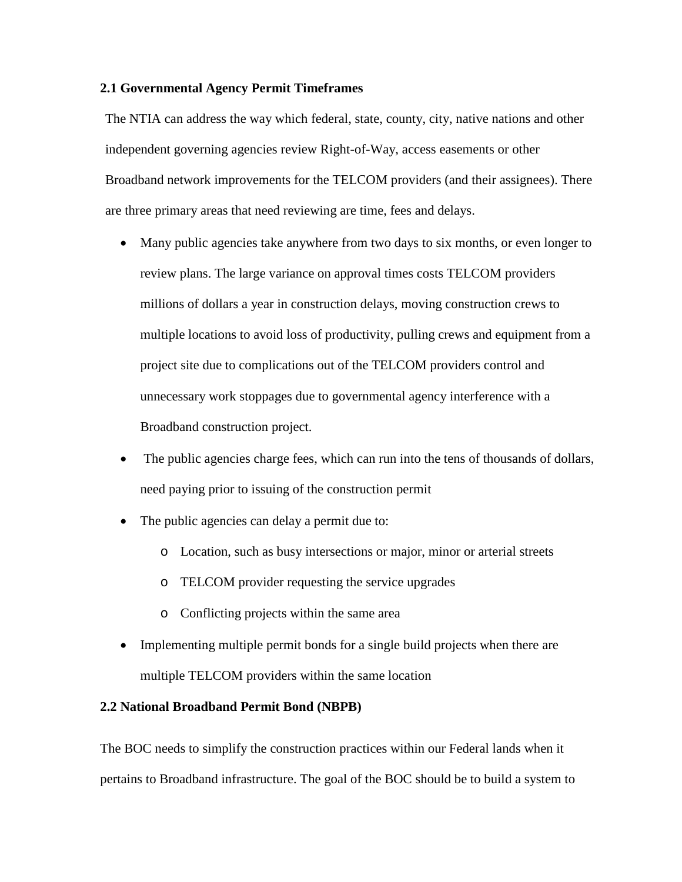# <span id="page-10-0"></span>**2.1 Governmental Agency Permit Timeframes**

The NTIA can address the way which federal, state, county, city, native nations and other independent governing agencies review Right-of-Way, access easements or other Broadband network improvements for the TELCOM providers (and their assignees). There are three primary areas that need reviewing are time, fees and delays.

- Many public agencies take anywhere from two days to six months, or even longer to review plans. The large variance on approval times costs TELCOM providers millions of dollars a year in construction delays, moving construction crews to multiple locations to avoid loss of productivity, pulling crews and equipment from a project site due to complications out of the TELCOM providers control and unnecessary work stoppages due to governmental agency interference with a Broadband construction project.
- The public agencies charge fees, which can run into the tens of thousands of dollars, need paying prior to issuing of the construction permit
- The public agencies can delay a permit due to:
	- o Location, such as busy intersections or major, minor or arterial streets
	- o TELCOM provider requesting the service upgrades
	- o Conflicting projects within the same area
- Implementing multiple permit bonds for a single build projects when there are multiple TELCOM providers within the same location

# <span id="page-10-1"></span>**2.2 National Broadband Permit Bond (NBPB)**

The BOC needs to simplify the construction practices within our Federal lands when it pertains to Broadband infrastructure. The goal of the BOC should be to build a system to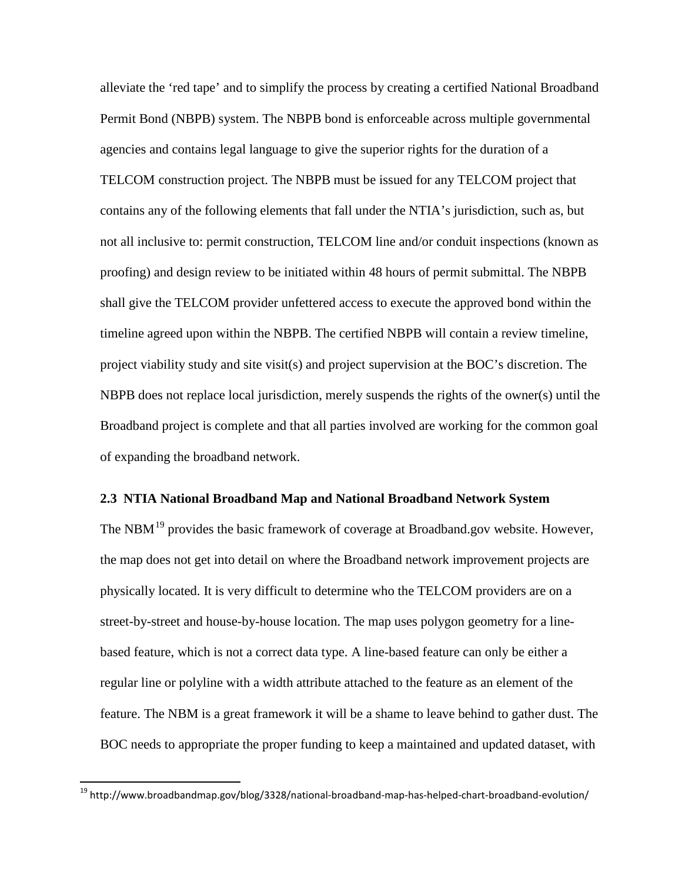alleviate the 'red tape' and to simplify the process by creating a certified National Broadband Permit Bond (NBPB) system. The NBPB bond is enforceable across multiple governmental agencies and contains legal language to give the superior rights for the duration of a TELCOM construction project. The NBPB must be issued for any TELCOM project that contains any of the following elements that fall under the NTIA's jurisdiction, such as, but not all inclusive to: permit construction, TELCOM line and/or conduit inspections (known as proofing) and design review to be initiated within 48 hours of permit submittal. The NBPB shall give the TELCOM provider unfettered access to execute the approved bond within the timeline agreed upon within the NBPB. The certified NBPB will contain a review timeline, project viability study and site visit(s) and project supervision at the BOC's discretion. The NBPB does not replace local jurisdiction, merely suspends the rights of the owner(s) until the Broadband project is complete and that all parties involved are working for the common goal of expanding the broadband network.

# <span id="page-11-0"></span>**2.3 NTIA National Broadband Map and National Broadband Network System**

The NBM<sup>[19](#page-11-1)</sup> provides the basic framework of coverage at Broadband.gov website. However, the map does not get into detail on where the Broadband network improvement projects are physically located. It is very difficult to determine who the TELCOM providers are on a street-by-street and house-by-house location. The map uses polygon geometry for a linebased feature, which is not a correct data type. A line-based feature can only be either a regular line or polyline with a width attribute attached to the feature as an element of the feature. The NBM is a great framework it will be a shame to leave behind to gather dust. The BOC needs to appropriate the proper funding to keep a maintained and updated dataset, with

<span id="page-11-1"></span><sup>&</sup>lt;sup>19</sup> http://www.broadbandmap.gov/blog/3328/national-broadband-map-has-helped-chart-broadband-evolution/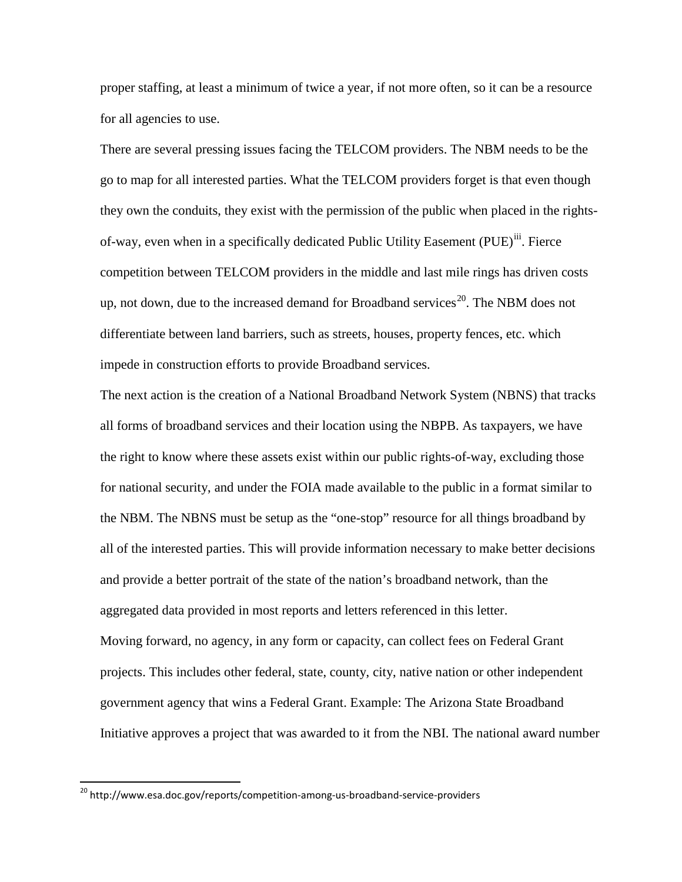proper staffing, at least a minimum of twice a year, if not more often, so it can be a resource for all agencies to use.

There are several pressing issues facing the TELCOM providers. The NBM needs to be the go to map for all interested parties. What the TELCOM providers forget is that even though they own the conduits, they exist with the permission of the public when placed in the rightsof-way, even when in a specifically dedicated Public Utility Easement (PUE)<sup>[iii](#page-18-3)</sup>. Fierce competition between TELCOM providers in the middle and last mile rings has driven costs up, not down, due to the increased demand for Broadband services<sup>20</sup>. The NBM does not differentiate between land barriers, such as streets, houses, property fences, etc. which impede in construction efforts to provide Broadband services.

The next action is the creation of a National Broadband Network System (NBNS) that tracks all forms of broadband services and their location using the NBPB. As taxpayers, we have the right to know where these assets exist within our public rights-of-way, excluding those for national security, and under the FOIA made available to the public in a format similar to the NBM. The NBNS must be setup as the "one-stop" resource for all things broadband by all of the interested parties. This will provide information necessary to make better decisions and provide a better portrait of the state of the nation's broadband network, than the aggregated data provided in most reports and letters referenced in this letter. Moving forward, no agency, in any form or capacity, can collect fees on Federal Grant projects. This includes other federal, state, county, city, native nation or other independent government agency that wins a Federal Grant. Example: The Arizona State Broadband Initiative approves a project that was awarded to it from the NBI. The national award number

<span id="page-12-0"></span><sup>&</sup>lt;sup>20</sup> http://www.esa.doc.gov/reports/competition-among-us-broadband-service-providers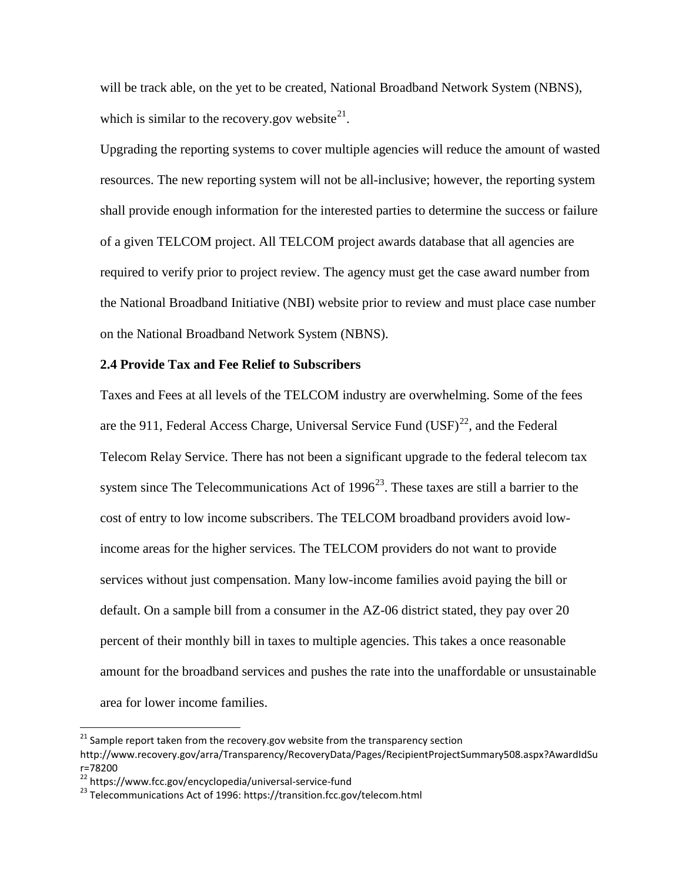will be track able, on the yet to be created, National Broadband Network System (NBNS), which is similar to the recovery.gov website<sup>[21](#page-13-1)</sup>.

Upgrading the reporting systems to cover multiple agencies will reduce the amount of wasted resources. The new reporting system will not be all-inclusive; however, the reporting system shall provide enough information for the interested parties to determine the success or failure of a given TELCOM project. All TELCOM project awards database that all agencies are required to verify prior to project review. The agency must get the case award number from the National Broadband Initiative (NBI) website prior to review and must place case number on the National Broadband Network System (NBNS).

# <span id="page-13-0"></span>**2.4 Provide Tax and Fee Relief to Subscribers**

Taxes and Fees at all levels of the TELCOM industry are overwhelming. Some of the fees are the 911, Federal Access Charge, Universal Service Fund  $(USF)^{22}$  $(USF)^{22}$  $(USF)^{22}$ , and the Federal Telecom Relay Service. There has not been a significant upgrade to the federal telecom tax system since The Telecommunications Act of  $1996^{23}$  $1996^{23}$  $1996^{23}$ . These taxes are still a barrier to the cost of entry to low income subscribers. The TELCOM broadband providers avoid lowincome areas for the higher services. The TELCOM providers do not want to provide services without just compensation. Many low-income families avoid paying the bill or default. On a sample bill from a consumer in the AZ-06 district stated, they pay over 20 percent of their monthly bill in taxes to multiple agencies. This takes a once reasonable amount for the broadband services and pushes the rate into the unaffordable or unsustainable area for lower income families.

<span id="page-13-1"></span> $21$  Sample report taken from the recovery.gov website from the transparency section

http://www.recovery.gov/arra/Transparency/RecoveryData/Pages/RecipientProjectSummary508.aspx?AwardIdSu r=78200<br><sup>22</sup> https://www.fcc.gov/encyclopedia/universal-service-fund

<span id="page-13-3"></span><span id="page-13-2"></span> $^{23}$  Telecommunications Act of 1996: https://transition.fcc.gov/telecom.html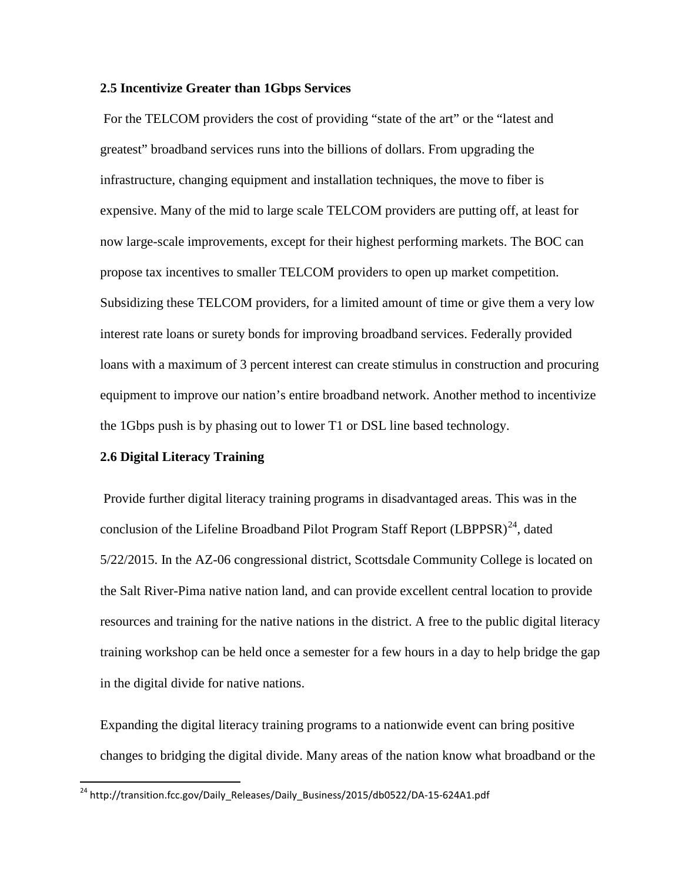# <span id="page-14-0"></span>**2.5 Incentivize Greater than 1Gbps Services**

For the TELCOM providers the cost of providing "state of the art" or the "latest and greatest" broadband services runs into the billions of dollars. From upgrading the infrastructure, changing equipment and installation techniques, the move to fiber is expensive. Many of the mid to large scale TELCOM providers are putting off, at least for now large-scale improvements, except for their highest performing markets. The BOC can propose tax incentives to smaller TELCOM providers to open up market competition. Subsidizing these TELCOM providers, for a limited amount of time or give them a very low interest rate loans or surety bonds for improving broadband services. Federally provided loans with a maximum of 3 percent interest can create stimulus in construction and procuring equipment to improve our nation's entire broadband network. Another method to incentivize the 1Gbps push is by phasing out to lower T1 or DSL line based technology.

## <span id="page-14-1"></span>**2.6 Digital Literacy Training**

Provide further digital literacy training programs in disadvantaged areas. This was in the conclusion of the Lifeline Broadband Pilot Program Staff Report  $(LBPPSR)^{24}$  $(LBPPSR)^{24}$  $(LBPPSR)^{24}$ , dated 5/22/2015. In the AZ-06 congressional district, Scottsdale Community College is located on the Salt River-Pima native nation land, and can provide excellent central location to provide resources and training for the native nations in the district. A free to the public digital literacy training workshop can be held once a semester for a few hours in a day to help bridge the gap in the digital divide for native nations.

Expanding the digital literacy training programs to a nationwide event can bring positive changes to bridging the digital divide. Many areas of the nation know what broadband or the

<span id="page-14-2"></span><sup>&</sup>lt;sup>24</sup> http://transition.fcc.gov/Daily\_Releases/Daily\_Business/2015/db0522/DA-15-624A1.pdf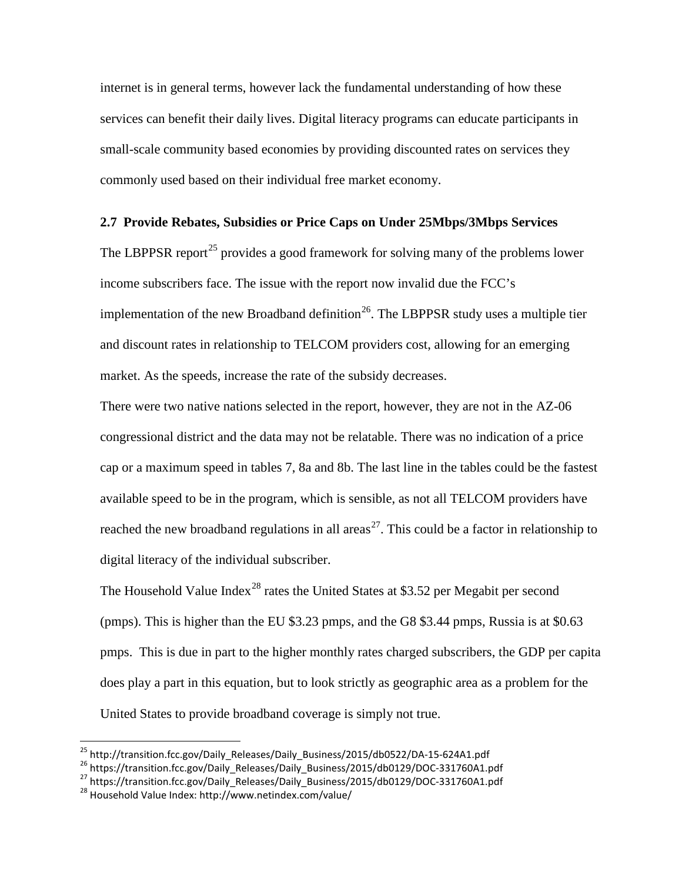internet is in general terms, however lack the fundamental understanding of how these services can benefit their daily lives. Digital literacy programs can educate participants in small-scale community based economies by providing discounted rates on services they commonly used based on their individual free market economy.

# <span id="page-15-0"></span>**2.7 Provide Rebates, Subsidies or Price Caps on Under 25Mbps/3Mbps Services**

The LBPPSR report<sup>[25](#page-15-1)</sup> provides a good framework for solving many of the problems lower income subscribers face. The issue with the report now invalid due the FCC's implementation of the new Broadband definition<sup>[26](#page-15-2)</sup>. The LBPPSR study uses a multiple tier and discount rates in relationship to TELCOM providers cost, allowing for an emerging market. As the speeds, increase the rate of the subsidy decreases.

There were two native nations selected in the report, however, they are not in the AZ-06 congressional district and the data may not be relatable. There was no indication of a price cap or a maximum speed in tables 7, 8a and 8b. The last line in the tables could be the fastest available speed to be in the program, which is sensible, as not all TELCOM providers have reached the new broadband regulations in all areas<sup>27</sup>. This could be a factor in relationship to digital literacy of the individual subscriber.

The Household Value Index<sup>[28](#page-15-4)</sup> rates the United States at \$3.52 per Megabit per second (pmps). This is higher than the EU \$3.23 pmps, and the G8 \$3.44 pmps, Russia is at \$0.63 pmps. This is due in part to the higher monthly rates charged subscribers, the GDP per capita does play a part in this equation, but to look strictly as geographic area as a problem for the United States to provide broadband coverage is simply not true.

<span id="page-15-2"></span><span id="page-15-1"></span><sup>&</sup>lt;sup>25</sup> http://transition.fcc.gov/Daily\_Releases/Daily\_Business/2015/db0522/DA-15-624A1.pdf<br><sup>26</sup> https://transition.fcc.gov/Daily\_Releases/Daily\_Business/2015/db0129/DOC-331760A1.pdf<br><sup>27</sup> https://transition.fcc.gov/Daily\_Rel

<span id="page-15-3"></span>

<span id="page-15-4"></span>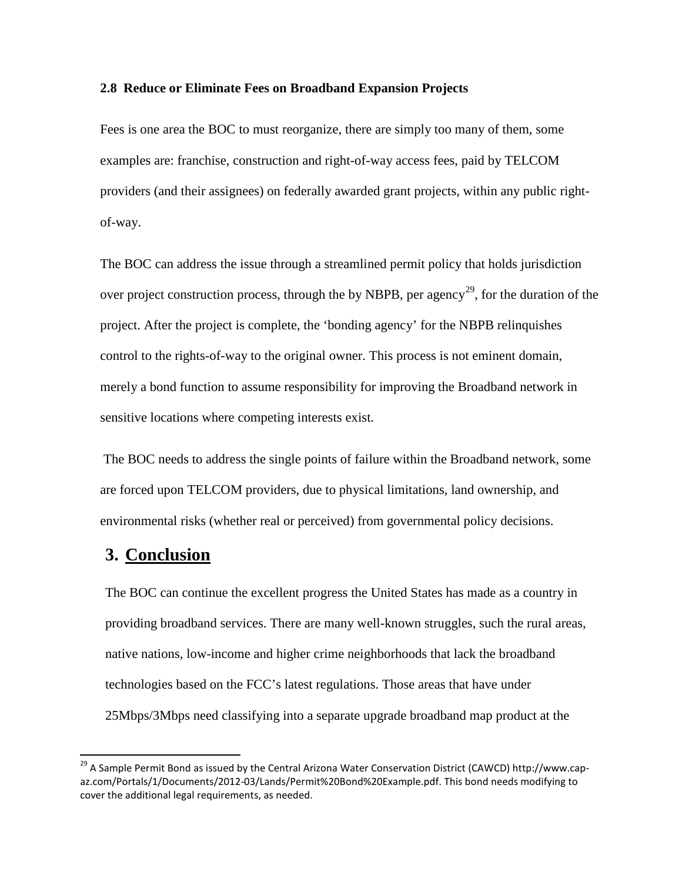#### <span id="page-16-0"></span>**2.8 Reduce or Eliminate Fees on Broadband Expansion Projects**

Fees is one area the BOC to must reorganize, there are simply too many of them, some examples are: franchise, construction and right-of-way access fees, paid by TELCOM providers (and their assignees) on federally awarded grant projects, within any public rightof-way.

The BOC can address the issue through a streamlined permit policy that holds jurisdiction over project construction process, through the by NBPB, per agency<sup>[29](#page-16-2)</sup>, for the duration of the project. After the project is complete, the 'bonding agency' for the NBPB relinquishes control to the rights-of-way to the original owner. This process is not eminent domain, merely a bond function to assume responsibility for improving the Broadband network in sensitive locations where competing interests exist.

The BOC needs to address the single points of failure within the Broadband network, some are forced upon TELCOM providers, due to physical limitations, land ownership, and environmental risks (whether real or perceived) from governmental policy decisions.

# <span id="page-16-1"></span>**3. Conclusion**

The BOC can continue the excellent progress the United States has made as a country in providing broadband services. There are many well-known struggles, such the rural areas, native nations, low-income and higher crime neighborhoods that lack the broadband technologies based on the FCC's latest regulations. Those areas that have under 25Mbps/3Mbps need classifying into a separate upgrade broadband map product at the

<span id="page-16-2"></span><sup>&</sup>lt;sup>29</sup> A Sample Permit Bond as issued by the Central Arizona Water Conservation District (CAWCD) http://www.capaz.com/Portals/1/Documents/2012-03/Lands/Permit%20Bond%20Example.pdf. This bond needs modifying to cover the additional legal requirements, as needed.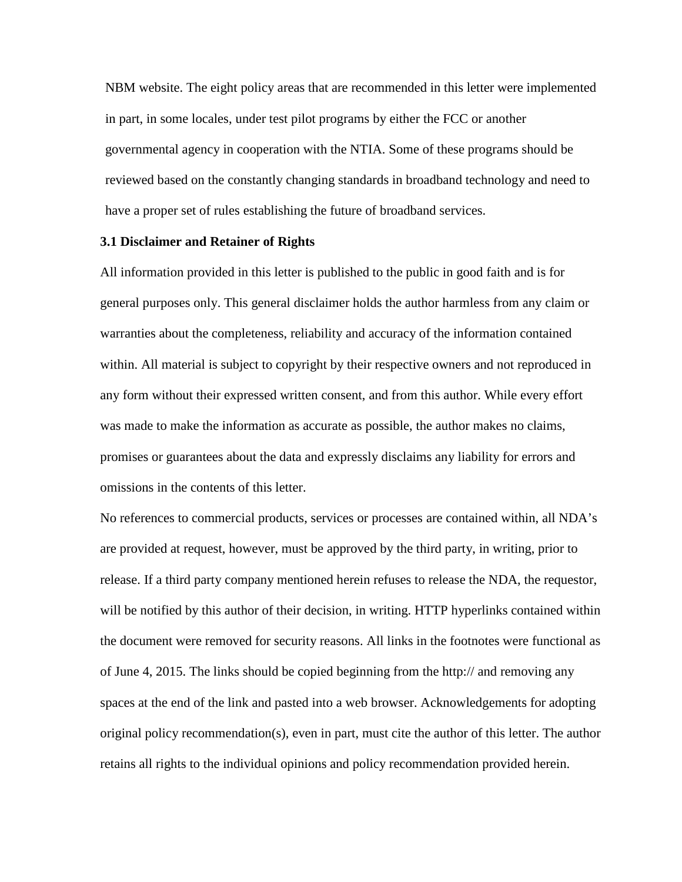NBM website. The eight policy areas that are recommended in this letter were implemented in part, in some locales, under test pilot programs by either the FCC or another governmental agency in cooperation with the NTIA. Some of these programs should be reviewed based on the constantly changing standards in broadband technology and need to have a proper set of rules establishing the future of broadband services.

## <span id="page-17-0"></span>**3.1 Disclaimer and Retainer of Rights**

All information provided in this letter is published to the public in good faith and is for general purposes only. This general disclaimer holds the author harmless from any claim or warranties about the completeness, reliability and accuracy of the information contained within. All material is subject to copyright by their respective owners and not reproduced in any form without their expressed written consent, and from this author. While every effort was made to make the information as accurate as possible, the author makes no claims, promises or guarantees about the data and expressly disclaims any liability for errors and omissions in the contents of this letter.

No references to commercial products, services or processes are contained within, all NDA's are provided at request, however, must be approved by the third party, in writing, prior to release. If a third party company mentioned herein refuses to release the NDA, the requestor, will be notified by this author of their decision, in writing. HTTP hyperlinks contained within the document were removed for security reasons. All links in the footnotes were functional as of June 4, 2015. The links should be copied beginning from the http:// and removing any spaces at the end of the link and pasted into a web browser. Acknowledgements for adopting original policy recommendation(s), even in part, must cite the author of this letter. The author retains all rights to the individual opinions and policy recommendation provided herein.